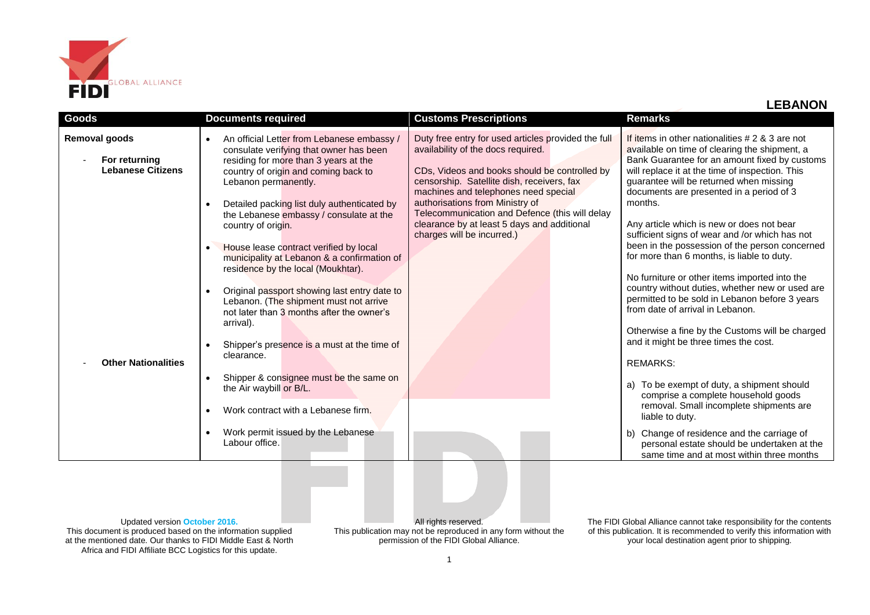

| Goods                                                                                    | <b>Documents required</b>                                                                                                                                                                                                                                                                                                                                                                                                                                                                                                                                                                                                                                                                                                                                                   | <b>Customs Prescriptions</b>                                                                                                                                                                                                                                                                                                                                                                       | <b>Remarks</b>                                                                                                                                                                                                                                                                                                                                                                                                                                                                                                                                                                                                                                                                                                                                                                                                                                                                                                                                                         |
|------------------------------------------------------------------------------------------|-----------------------------------------------------------------------------------------------------------------------------------------------------------------------------------------------------------------------------------------------------------------------------------------------------------------------------------------------------------------------------------------------------------------------------------------------------------------------------------------------------------------------------------------------------------------------------------------------------------------------------------------------------------------------------------------------------------------------------------------------------------------------------|----------------------------------------------------------------------------------------------------------------------------------------------------------------------------------------------------------------------------------------------------------------------------------------------------------------------------------------------------------------------------------------------------|------------------------------------------------------------------------------------------------------------------------------------------------------------------------------------------------------------------------------------------------------------------------------------------------------------------------------------------------------------------------------------------------------------------------------------------------------------------------------------------------------------------------------------------------------------------------------------------------------------------------------------------------------------------------------------------------------------------------------------------------------------------------------------------------------------------------------------------------------------------------------------------------------------------------------------------------------------------------|
| Removal goods<br>For returning<br><b>Lebanese Citizens</b><br><b>Other Nationalities</b> | An official Letter from Lebanese embassy /<br>consulate verifying that owner has been<br>residing for more than 3 years at the<br>country of origin and coming back to<br>Lebanon permanently.<br>Detailed packing list duly authenticated by<br>the Lebanese embassy / consulate at the<br>country of origin.<br>House lease contract verified by local<br>municipality at Lebanon & a confirmation of<br>residence by the local (Moukhtar).<br>Original passport showing last entry date to<br>Lebanon. (The shipment must not arrive<br>not later than 3 months after the owner's<br>arrival).<br>Shipper's presence is a must at the time of<br>clearance.<br>Shipper & consignee must be the same on<br>the Air waybill or B/L.<br>Work contract with a Lebanese firm. | Duty free entry for used articles provided the full<br>availability of the docs required.<br>CDs, Videos and books should be controlled by<br>censorship. Satellite dish, receivers, fax<br>machines and telephones need special<br>authorisations from Ministry of<br>Telecommunication and Defence (this will delay<br>clearance by at least 5 days and additional<br>charges will be incurred.) | If items in other nationalities $# 2 8 3$ are not<br>available on time of clearing the shipment, a<br>Bank Guarantee for an amount fixed by customs<br>will replace it at the time of inspection. This<br>guarantee will be returned when missing<br>documents are presented in a period of 3<br>months.<br>Any article which is new or does not bear<br>sufficient signs of wear and /or which has not<br>been in the possession of the person concerned<br>for more than 6 months, is liable to duty.<br>No furniture or other items imported into the<br>country without duties, whether new or used are<br>permitted to be sold in Lebanon before 3 years<br>from date of arrival in Lebanon.<br>Otherwise a fine by the Customs will be charged<br>and it might be three times the cost.<br><b>REMARKS:</b><br>To be exempt of duty, a shipment should<br>a)<br>comprise a complete household goods<br>removal. Small incomplete shipments are<br>liable to duty. |
|                                                                                          | Work permit issued by the Lebanese<br>Labour office.                                                                                                                                                                                                                                                                                                                                                                                                                                                                                                                                                                                                                                                                                                                        |                                                                                                                                                                                                                                                                                                                                                                                                    | Change of residence and the carriage of<br>b)<br>personal estate should be undertaken at the<br>same time and at most within three months                                                                                                                                                                                                                                                                                                                                                                                                                                                                                                                                                                                                                                                                                                                                                                                                                              |

Updated version **October 2016.** This document is produced based on the information supplied at the mentioned date. Our thanks to FIDI Middle East & North Africa and FIDI Affiliate BCC Logistics for this update.

All rights reserved. This publication may not be reproduced in any form without the permission of the FIDI Global Alliance.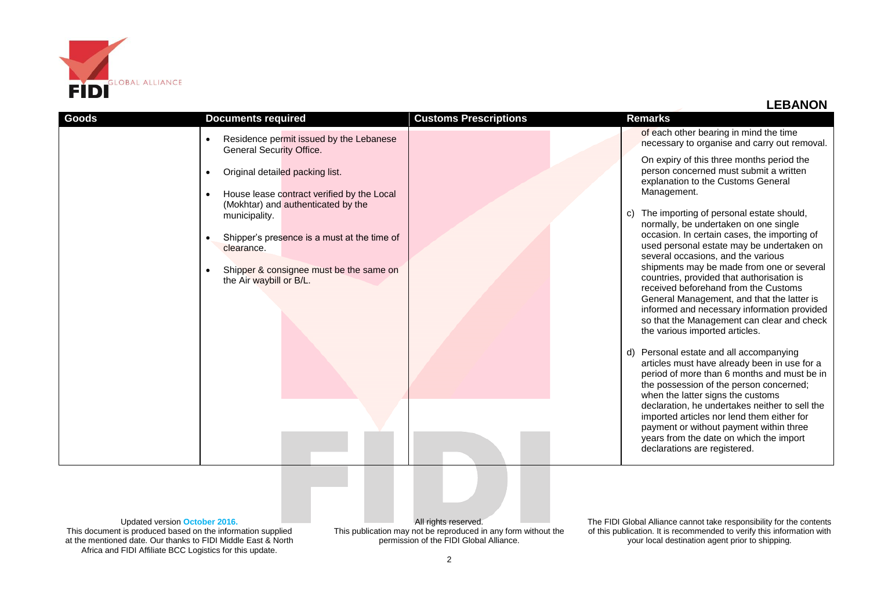

## **LEBANON**

| Goods                                | <b>Documents required</b>                                                     | <b>Customs Prescriptions</b> | <b>Remarks</b>                                                                                                                                                                                                                                          |
|--------------------------------------|-------------------------------------------------------------------------------|------------------------------|---------------------------------------------------------------------------------------------------------------------------------------------------------------------------------------------------------------------------------------------------------|
|                                      | Residence permit issued by the Lebanese<br><b>General Security Office.</b>    |                              | of each other bearing in mind the time<br>necessary to organise and carry out removal.                                                                                                                                                                  |
|                                      | Original detailed packing list.<br>House lease contract verified by the Local |                              | On expiry of this three months period the<br>person concerned must submit a written<br>explanation to the Customs General<br>Management.                                                                                                                |
|                                      | (Mokhtar) and authenticated by the<br>municipality.                           |                              | The importing of personal estate should,<br>C)<br>normally, be undertaken on one single                                                                                                                                                                 |
|                                      | Shipper's presence is a must at the time of<br>clearance.                     |                              | occasion. In certain cases, the importing of<br>used personal estate may be undertaken on<br>several occasions, and the various                                                                                                                         |
|                                      | Shipper & consignee must be the same on<br>the Air waybill or B/L.            |                              | shipments may be made from one or several<br>countries, provided that authorisation is<br>received beforehand from the Customs                                                                                                                          |
|                                      |                                                                               |                              | General Management, and that the latter is<br>informed and necessary information provided<br>so that the Management can clear and check<br>the various imported articles.                                                                               |
|                                      |                                                                               |                              | d) Personal estate and all accompanying<br>articles must have already been in use for a<br>period of more than 6 months and must be in<br>the possession of the person concerned;                                                                       |
|                                      |                                                                               |                              | when the latter signs the customs<br>declaration, he undertakes neither to sell the<br>imported articles nor lend them either for<br>payment or without payment within three<br>years from the date on which the import<br>declarations are registered. |
|                                      |                                                                               |                              |                                                                                                                                                                                                                                                         |
|                                      |                                                                               |                              |                                                                                                                                                                                                                                                         |
| <b>LIndated version Ostaber 2016</b> |                                                                               | $\Delta$ ll righto roganic   | The EIDLOIshel Allianee connet toke reenangibility for the context                                                                                                                                                                                      |

Updated version **October 2016.** This document is produced based on the information supplied at the mentioned date. Our thanks to FIDI Middle East & North Africa and FIDI Affiliate BCC Logistics for this update.

All rights reserved. This publication may not be reproduced in any form without the permission of the FIDI Global Alliance.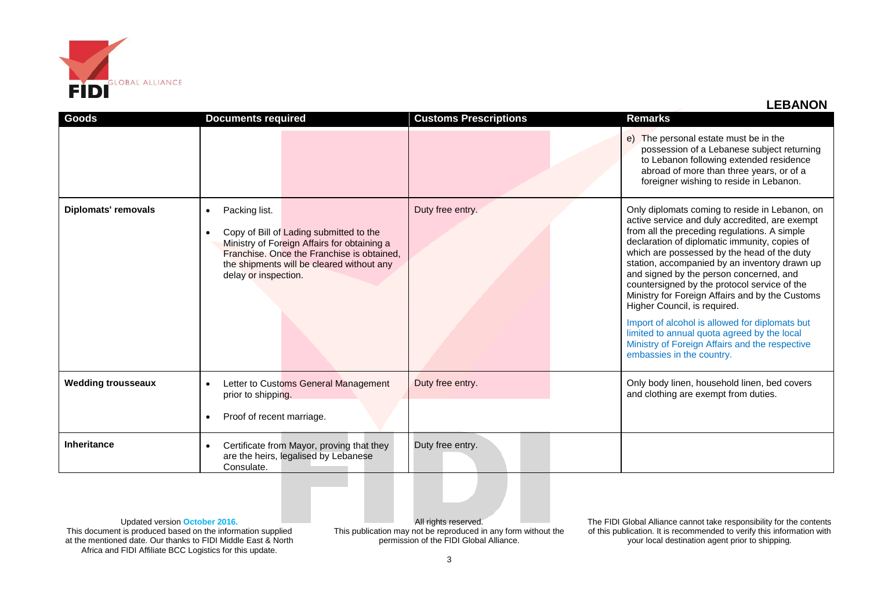

**LEBANON**

| Goods                      | <b>Documents required</b>                                                                                                                                                                                                                            | <b>Customs Prescriptions</b> | <b>Remarks</b>                                                                                                                                                                                                                                                                                                                                                                                                                                                                                                                                                                                                                                                  |
|----------------------------|------------------------------------------------------------------------------------------------------------------------------------------------------------------------------------------------------------------------------------------------------|------------------------------|-----------------------------------------------------------------------------------------------------------------------------------------------------------------------------------------------------------------------------------------------------------------------------------------------------------------------------------------------------------------------------------------------------------------------------------------------------------------------------------------------------------------------------------------------------------------------------------------------------------------------------------------------------------------|
|                            |                                                                                                                                                                                                                                                      |                              | e) The personal estate must be in the<br>possession of a Lebanese subject returning<br>to Lebanon following extended residence<br>abroad of more than three years, or of a<br>foreigner wishing to reside in Lebanon.                                                                                                                                                                                                                                                                                                                                                                                                                                           |
| <b>Diplomats' removals</b> | Packing list.<br>$\bullet$<br>Copy of Bill of Lading submitted to the<br>$\bullet$<br>Ministry of Foreign Affairs for obtaining a<br>Franchise. Once the Franchise is obtained,<br>the shipments will be cleared without any<br>delay or inspection. | Duty free entry.             | Only diplomats coming to reside in Lebanon, on<br>active service and duly accredited, are exempt<br>from all the preceding regulations. A simple<br>declaration of diplomatic immunity, copies of<br>which are possessed by the head of the duty<br>station, accompanied by an inventory drawn up<br>and signed by the person concerned, and<br>countersigned by the protocol service of the<br>Ministry for Foreign Affairs and by the Customs<br>Higher Council, is required.<br>Import of alcohol is allowed for diplomats but<br>limited to annual quota agreed by the local<br>Ministry of Foreign Affairs and the respective<br>embassies in the country. |
| <b>Wedding trousseaux</b>  | Letter to Customs General Management<br>$\bullet$<br>prior to shipping.                                                                                                                                                                              | Duty free entry.             | Only body linen, household linen, bed covers<br>and clothing are exempt from duties.                                                                                                                                                                                                                                                                                                                                                                                                                                                                                                                                                                            |
|                            | Proof of recent marriage.<br>$\bullet$                                                                                                                                                                                                               |                              |                                                                                                                                                                                                                                                                                                                                                                                                                                                                                                                                                                                                                                                                 |
| <b>Inheritance</b>         | Certificate from Mayor, proving that they<br>$\bullet$<br>are the heirs, legalised by Lebanese<br>Consulate.                                                                                                                                         | Duty free entry.             |                                                                                                                                                                                                                                                                                                                                                                                                                                                                                                                                                                                                                                                                 |

Updated version **October 2016.** This document is produced based on the information supplied at the mentioned date. Our thanks to FIDI Middle East & North Africa and FIDI Affiliate BCC Logistics for this update.

All rights reserved. This publication may not be reproduced in any form without the permission of the FIDI Global Alliance.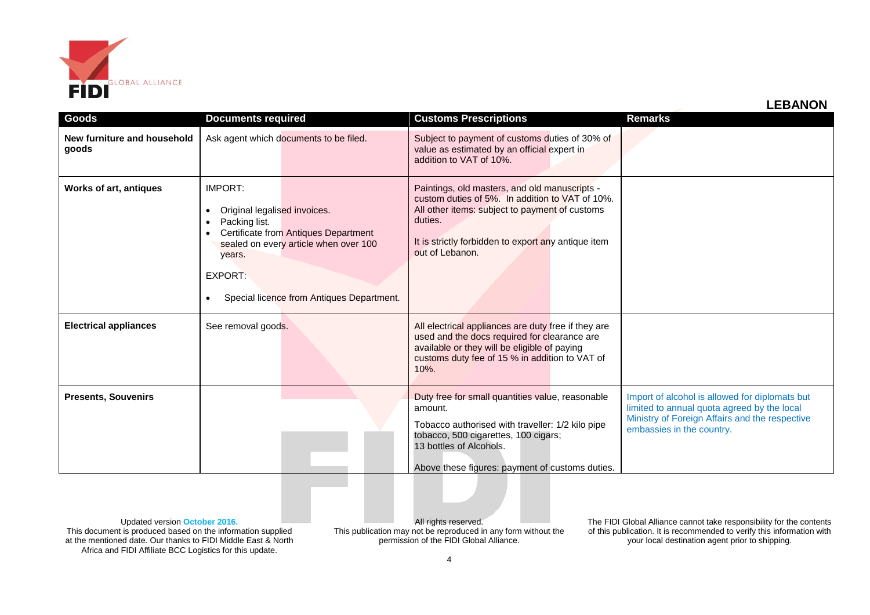

|  | <b>LEBANON</b> |
|--|----------------|
|--|----------------|

|                                      |                                                                                                                       |                                                                                                                            |                                                                                                                                                                                                                                         | LLDAIVUI                                                                                                                                                                     |
|--------------------------------------|-----------------------------------------------------------------------------------------------------------------------|----------------------------------------------------------------------------------------------------------------------------|-----------------------------------------------------------------------------------------------------------------------------------------------------------------------------------------------------------------------------------------|------------------------------------------------------------------------------------------------------------------------------------------------------------------------------|
| Goods                                | <b>Documents required</b>                                                                                             |                                                                                                                            | <b>Customs Prescriptions</b>                                                                                                                                                                                                            | <b>Remarks</b>                                                                                                                                                               |
| New furniture and household<br>goods |                                                                                                                       | Ask agent which documents to be filed.                                                                                     | Subject to payment of customs duties of 30% of<br>value as estimated by an official expert in<br>addition to VAT of 10%.                                                                                                                |                                                                                                                                                                              |
| <b>Works of art, antiques</b>        | <b>IMPORT:</b><br>Original legalised invoices.<br>$\bullet$<br>Packing list.<br>years.<br><b>EXPORT:</b><br>$\bullet$ | Certificate from Antiques Department<br>sealed on every article when over 100<br>Special licence from Antiques Department. | Paintings, old masters, and old manuscripts -<br>custom duties of 5%. In addition to VAT of 10%.<br>All other items: subject to payment of customs<br>duties.<br>It is strictly forbidden to export any antique item<br>out of Lebanon. |                                                                                                                                                                              |
| <b>Electrical appliances</b>         | See removal goods.                                                                                                    |                                                                                                                            | All electrical appliances are duty free if they are<br>used and the docs required for clearance are<br>available or they will be eligible of paying<br>customs duty fee of 15 % in addition to VAT of<br>$10%$ .                        |                                                                                                                                                                              |
| <b>Presents, Souvenirs</b>           |                                                                                                                       |                                                                                                                            | Duty free for small quantities value, reasonable<br>amount.<br>Tobacco authorised with traveller: 1/2 kilo pipe<br>tobacco, 500 cigarettes, 100 cigars;<br>13 bottles of Alcohols.<br>Above these figures: payment of customs duties.   | Import of alcohol is allowed for diplomats but<br>limited to annual quota agreed by the local<br>Ministry of Foreign Affairs and the respective<br>embassies in the country. |

Updated version **October 2016.** This document is produced based on the information supplied at the mentioned date. Our thanks to FIDI Middle East & North Africa and FIDI Affiliate BCC Logistics for this update.

All rights reserved. This publication may not be reproduced in any form without the permission of the FIDI Global Alliance.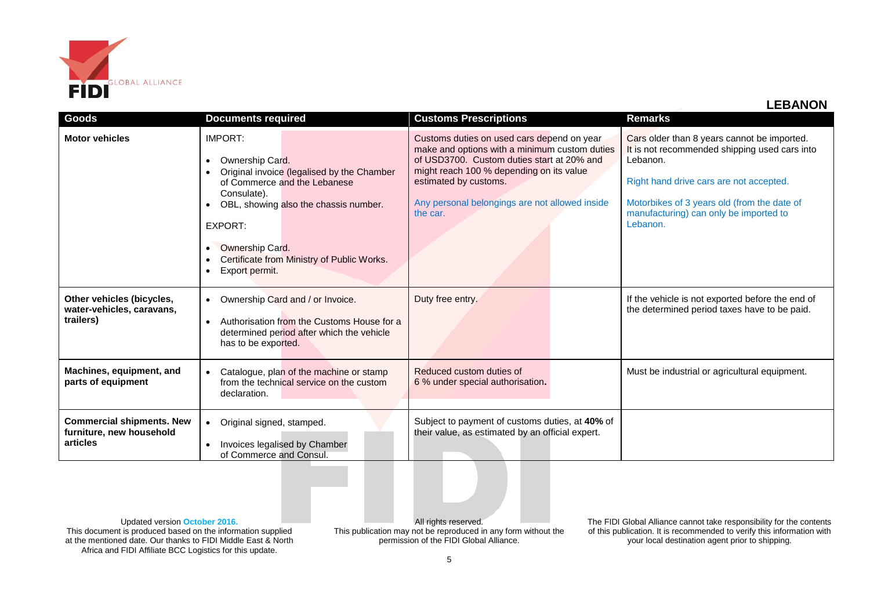

**LEBANON**

| <b>Goods</b>                                                             | <b>Documents required</b>                                                                                                                                                                                                                                                                             | <b>Customs Prescriptions</b>                                                                                                                                                                                                                                                 | <b>Remarks</b>                                                                                                                                                                                                                                           |
|--------------------------------------------------------------------------|-------------------------------------------------------------------------------------------------------------------------------------------------------------------------------------------------------------------------------------------------------------------------------------------------------|------------------------------------------------------------------------------------------------------------------------------------------------------------------------------------------------------------------------------------------------------------------------------|----------------------------------------------------------------------------------------------------------------------------------------------------------------------------------------------------------------------------------------------------------|
| <b>Motor vehicles</b>                                                    | IMPORT:<br>Ownership Card.<br>$\bullet$<br>Original invoice (legalised by the Chamber<br>$\bullet$<br>of Commerce and the Lebanese<br>Consulate).<br>OBL, showing also the chassis number.<br>EXPORT:<br>Ownership Card.<br>$\bullet$<br>Certificate from Ministry of Public Works.<br>Export permit. | Customs duties on used cars depend on year<br>make and options with a minimum custom duties<br>of USD3700. Custom duties start at 20% and<br>might reach 100 % depending on its value<br>estimated by customs.<br>Any personal belongings are not allowed inside<br>the car. | Cars older than 8 years cannot be imported.<br>It is not recommended shipping used cars into<br>Lebanon.<br>Right hand drive cars are not accepted.<br>Motorbikes of 3 years old (from the date of<br>manufacturing) can only be imported to<br>Lebanon. |
| Other vehicles (bicycles,<br>water-vehicles, caravans,<br>trailers)      | Ownership Card and / or Invoice.<br>$\bullet$<br>Authorisation from the Customs House for a<br>$\bullet$<br>determined period after which the vehicle<br>has to be exported.                                                                                                                          | Duty free entry.                                                                                                                                                                                                                                                             | If the vehicle is not exported before the end of<br>the determined period taxes have to be paid.                                                                                                                                                         |
| Machines, equipment, and<br>parts of equipment                           | Catalogue, plan of the machine or stamp<br>$\bullet$<br>from the technical service on the custom<br>declaration.                                                                                                                                                                                      | Reduced custom duties of<br>6 % under special authorisation.                                                                                                                                                                                                                 | Must be industrial or agricultural equipment.                                                                                                                                                                                                            |
| <b>Commercial shipments. New</b><br>furniture, new household<br>articles | Original signed, stamped.<br>$\bullet$<br>Invoices legalised by Chamber<br>of Commerce and Consul.                                                                                                                                                                                                    | Subject to payment of customs duties, at 40% of<br>their value, as estimated by an official expert.                                                                                                                                                                          |                                                                                                                                                                                                                                                          |

Updated version **October 2016.** This document is produced based on the information supplied at the mentioned date. Our thanks to FIDI Middle East & North Africa and FIDI Affiliate BCC Logistics for this update.

All rights reserved. This publication may not be reproduced in any form without the permission of the FIDI Global Alliance.